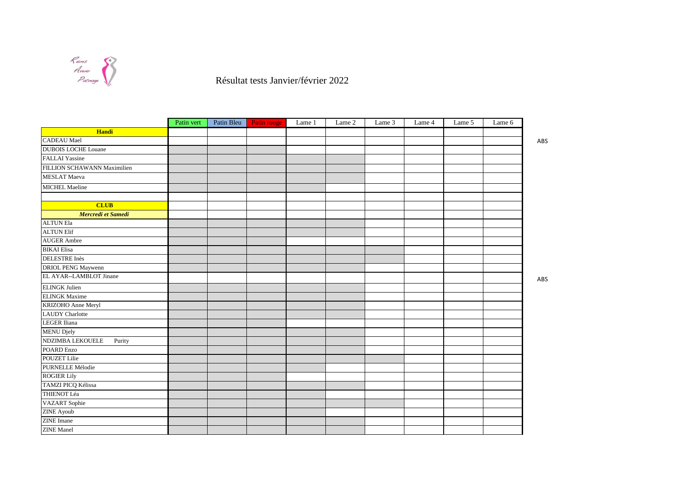

Résultat tests Janvier/février 2022

|                             | Patin vert | Patin Bleu | Patin rouge | Lame 1 | Lame 2 | Lame 3 | Lame 4 | Lame 5 | Lame 6 |     |
|-----------------------------|------------|------------|-------------|--------|--------|--------|--------|--------|--------|-----|
| Handi                       |            |            |             |        |        |        |        |        |        |     |
| <b>CADEAU</b> Mael          |            |            |             |        |        |        |        |        |        | ABS |
| <b>DUBOIS LOCHE Louane</b>  |            |            |             |        |        |        |        |        |        |     |
| <b>FALLAI</b> Yassine       |            |            |             |        |        |        |        |        |        |     |
| FILLION SCHAWANN Maximilien |            |            |             |        |        |        |        |        |        |     |
| <b>MESLAT</b> Maeva         |            |            |             |        |        |        |        |        |        |     |
| <b>MICHEL Maeline</b>       |            |            |             |        |        |        |        |        |        |     |
|                             |            |            |             |        |        |        |        |        |        |     |
| <b>CLUB</b>                 |            |            |             |        |        |        |        |        |        |     |
| Mercredi et Samedi          |            |            |             |        |        |        |        |        |        |     |
| <b>ALTUN Ela</b>            |            |            |             |        |        |        |        |        |        |     |
| <b>ALTUN Elif</b>           |            |            |             |        |        |        |        |        |        |     |
| <b>AUGER</b> Ambre          |            |            |             |        |        |        |        |        |        |     |
| <b>BIKAI</b> Elisa          |            |            |             |        |        |        |        |        |        |     |
| <b>DELESTRE</b> Inès        |            |            |             |        |        |        |        |        |        |     |
| DRIOL PENG Maywenn          |            |            |             |        |        |        |        |        |        |     |
| EL AYAR--LAMBLOT Jinane     |            |            |             |        |        |        |        |        |        | ABS |
| <b>ELINGK</b> Julien        |            |            |             |        |        |        |        |        |        |     |
| <b>ELINGK</b> Maxime        |            |            |             |        |        |        |        |        |        |     |
| KRIZOHO Anne Meryl          |            |            |             |        |        |        |        |        |        |     |
| <b>LAUDY</b> Charlotte      |            |            |             |        |        |        |        |        |        |     |
| <b>LEGER</b> Iliana         |            |            |             |        |        |        |        |        |        |     |
| <b>MENU Djely</b>           |            |            |             |        |        |        |        |        |        |     |
| NDZIMBA LEKOUELE<br>Purity  |            |            |             |        |        |        |        |        |        |     |
| POARD Enzo                  |            |            |             |        |        |        |        |        |        |     |
| <b>POUZET Lilie</b>         |            |            |             |        |        |        |        |        |        |     |
| PURNELLE Mélodie            |            |            |             |        |        |        |        |        |        |     |
| <b>ROGIER Lily</b>          |            |            |             |        |        |        |        |        |        |     |
| TAMZI PICQ Kélissa          |            |            |             |        |        |        |        |        |        |     |
| THIENOT Léa                 |            |            |             |        |        |        |        |        |        |     |
| <b>VAZART</b> Sophie        |            |            |             |        |        |        |        |        |        |     |
| ZINE Ayoub                  |            |            |             |        |        |        |        |        |        |     |
| <b>ZINE</b> Imane           |            |            |             |        |        |        |        |        |        |     |
| <b>ZINE</b> Manel           |            |            |             |        |        |        |        |        |        |     |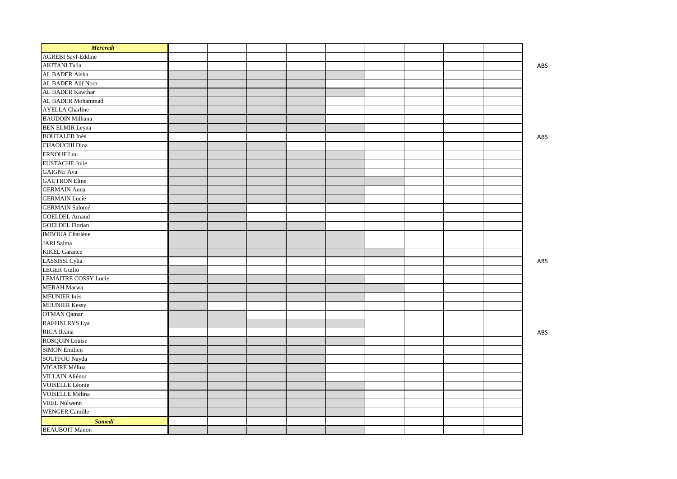| <b>Mercredi</b>             |  |  |  |  |     |
|-----------------------------|--|--|--|--|-----|
| <b>AGREBI</b> Sayf-Eddine   |  |  |  |  |     |
| <b>AKITANI</b> Talia        |  |  |  |  | ABS |
| AL BADER Aisha              |  |  |  |  |     |
| AL BADER Alif Noor          |  |  |  |  |     |
| AL BADER Kawthar            |  |  |  |  |     |
| AL BADER Mohammad           |  |  |  |  |     |
| <b>AYELLA Charline</b>      |  |  |  |  |     |
| <b>BAUDOIN</b> Milhana      |  |  |  |  |     |
| <b>BEN ELMIR Leyna</b>      |  |  |  |  |     |
| <b>BOUTALEB</b> Inès        |  |  |  |  | ABS |
| <b>CHAOUCHI</b> Dina        |  |  |  |  |     |
| <b>ERNOUF Lou</b>           |  |  |  |  |     |
| <b>EUSTACHE</b> Julie       |  |  |  |  |     |
| <b>GAIGNE Ava</b>           |  |  |  |  |     |
| <b>GAUTRON</b> Eline        |  |  |  |  |     |
| <b>GERMAIN</b> Anna         |  |  |  |  |     |
| <b>GERMAIN</b> Lucie        |  |  |  |  |     |
| <b>GERMAIN Salomé</b>       |  |  |  |  |     |
| <b>GOELDEL Arnaud</b>       |  |  |  |  |     |
| <b>GOELDEL Florian</b>      |  |  |  |  |     |
| <b>IMBOUA</b> Charlène      |  |  |  |  |     |
| <b>JARI</b> Salma           |  |  |  |  |     |
| <b>KIKEL Garance</b>        |  |  |  |  |     |
| LASSISSI Cylia              |  |  |  |  | ABS |
| <b>LEGER Guilio</b>         |  |  |  |  |     |
| <b>LEMAITRE COSSY Lucie</b> |  |  |  |  |     |
| <b>MERAH Marwa</b>          |  |  |  |  |     |
| <b>MEUNIER</b> Inès         |  |  |  |  |     |
| <b>MEUNIER Kessy</b>        |  |  |  |  |     |
| OTMAN Qamar                 |  |  |  |  |     |
| <b>RAFFINI RYS Lya</b>      |  |  |  |  |     |
| RIGA Ileana                 |  |  |  |  | ABS |
| <b>ROSQUIN Louise</b>       |  |  |  |  |     |
| <b>SIMON Emilien</b>        |  |  |  |  |     |
| SOUFFOU Nayda               |  |  |  |  |     |
| VICAIRE Mélina              |  |  |  |  |     |
| <b>VILLAIN</b> Aliénor      |  |  |  |  |     |
| VOISELLE Léonie             |  |  |  |  |     |
| VOISELLE Mélina             |  |  |  |  |     |
| <b>VREL Nolwenn</b>         |  |  |  |  |     |
| <b>WENGER Camille</b>       |  |  |  |  |     |
| <b>Samedi</b>               |  |  |  |  |     |
| <b>BEAUBOIT Manon</b>       |  |  |  |  |     |